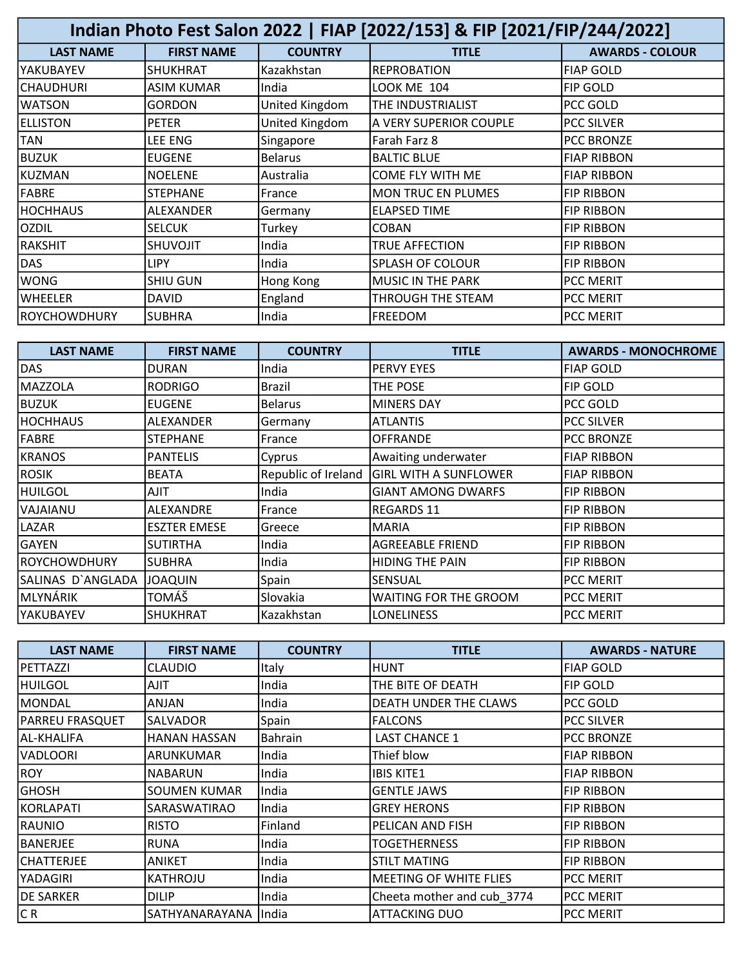| Indian Photo Fest Salon 2022   FIAP [2022/153] & FIP [2021/FIP/244/2022] |                   |                |                           |                        |
|--------------------------------------------------------------------------|-------------------|----------------|---------------------------|------------------------|
| <b>LAST NAME</b>                                                         | <b>FIRST NAME</b> | <b>COUNTRY</b> | <b>TITLE</b>              | <b>AWARDS - COLOUR</b> |
| IYAKUBAYEV                                                               | SHUKHRAT          | Kazakhstan     | <b>REPROBATION</b>        | <b>FIAP GOLD</b>       |
| CHAUDHURI                                                                | <b>ASIM KUMAR</b> | India          | <b>LOOK ME 104</b>        | FIP GOLD               |
| WATSON                                                                   | GORDON            | United Kingdom | THE INDUSTRIALIST         | PCC GOLD               |
| <b>ELLISTON</b>                                                          | <b>PETER</b>      | United Kingdom | A VERY SUPERIOR COUPLE    | <b>PCC SILVER</b>      |
| TAN                                                                      | LEE ENG           | Singapore      | Farah Farz 8              | <b>PCC BRONZE</b>      |
| BUZUK                                                                    | <b>EUGENE</b>     | <b>Belarus</b> | <b>BALTIC BLUE</b>        | <b>FIAP RIBBON</b>     |
| KUZMAN                                                                   | <b>NOELENE</b>    | Australia      | COME FLY WITH ME          | <b>FIAP RIBBON</b>     |
| <b>FABRE</b>                                                             | <b>STEPHANE</b>   | France         | <b>MON TRUC EN PLUMES</b> | <b>FIP RIBBON</b>      |
| HOCHHAUS                                                                 | ALEXANDER         | Germany        | <b>ELAPSED TIME</b>       | <b>FIP RIBBON</b>      |
| <b>OZDIL</b>                                                             | <b>SELCUK</b>     | Turkey         | <b>COBAN</b>              | <b>FIP RIBBON</b>      |
| <b>RAKSHIT</b>                                                           | <b>SHUVOJIT</b>   | India          | TRUE AFFECTION            | <b>FIP RIBBON</b>      |
| DAS                                                                      | <b>LIPY</b>       | India          | <b>SPLASH OF COLOUR</b>   | <b>FIP RIBBON</b>      |
| WONG                                                                     | <b>SHIU GUN</b>   | Hong Kong      | MUSIC IN THE PARK         | <b>PCC MERIT</b>       |
| lwheeler                                                                 | <b>DAVID</b>      | England        | THROUGH THE STEAM         | <b>PCC MERIT</b>       |
| <b>ROYCHOWDHURY</b>                                                      | <b>SUBHRA</b>     | India          | <b>FREEDOM</b>            | <b>PCC MERIT</b>       |

| <b>LAST NAME</b>  | <b>FIRST NAME</b>   | <b>COUNTRY</b>      | <b>TITLE</b>                 | <b>AWARDS - MONOCHROME</b> |
|-------------------|---------------------|---------------------|------------------------------|----------------------------|
| DAS               | <b>DURAN</b>        | India               | <b>PERVY EYES</b>            | <b>FIAP GOLD</b>           |
| lMAZZOLA          | <b>RODRIGO</b>      | Brazil              | THE POSE                     | <b>FIP GOLD</b>            |
| <b>BUZUK</b>      | <b>EUGENE</b>       | <b>Belarus</b>      | <b>MINERS DAY</b>            | PCC GOLD                   |
| <b>HOCHHAUS</b>   | ALEXANDER           | Germany             | <b>ATLANTIS</b>              | <b>PCC SILVER</b>          |
| <b>FABRE</b>      | <b>STEPHANE</b>     | France              | <b>OFFRANDE</b>              | <b>PCC BRONZE</b>          |
| KRANOS            | <b>PANTELIS</b>     | Cyprus              | Awaiting underwater          | <b>FIAP RIBBON</b>         |
| <b>ROSIK</b>      | <b>BEATA</b>        | Republic of Ireland | <b>GIRL WITH A SUNFLOWER</b> | <b>FIAP RIBBON</b>         |
| HUILGOL           | <b>AJIT</b>         | India               | <b>GIANT AMONG DWARFS</b>    | <b>FIP RIBBON</b>          |
| IVAJAIANU         | ALEXANDRE           | France              | <b>REGARDS 11</b>            | <b>FIP RIBBON</b>          |
| ILAZAR            | <b>ESZTER EMESE</b> | Greece              | <b>MARIA</b>                 | <b>FIP RIBBON</b>          |
| <b>GAYEN</b>      | <b>SUTIRTHA</b>     | India               | <b>AGREEABLE FRIEND</b>      | <b>FIP RIBBON</b>          |
| ROYCHOWDHURY      | <b>SUBHRA</b>       | India               | <b>HIDING THE PAIN</b>       | <b>FIP RIBBON</b>          |
| SALINAS D`ANGLADA | <b>JOAQUIN</b>      | Spain               | <b>SENSUAL</b>               | <b>PCC MERIT</b>           |
| MLYNÁRIK          | TOMÁŠ               | Slovakia            | WAITING FOR THE GROOM        | PCC MERIT                  |
| IYAKUBAYEV        | <b>SHUKHRAT</b>     | Kazakhstan          | LONELINESS                   | <b>PCC MERIT</b>           |

| <b>LAST NAME</b> | <b>FIRST NAME</b>     | <b>COUNTRY</b> | <b>TITLE</b>               | <b>AWARDS - NATURE</b> |
|------------------|-----------------------|----------------|----------------------------|------------------------|
| PETTAZZI         | <b>CLAUDIO</b>        | Italy          | IHUNT                      | <b>FIAP GOLD</b>       |
| IHUILGOL         | <b>AJIT</b>           | India          | THE BITE OF DEATH          | <b>FIP GOLD</b>        |
| MONDAL           | ANJAN                 | India          | DEATH UNDER THE CLAWS      | PCC GOLD               |
| PARREU FRASQUET  | SALVADOR              | Spain          | <b>FALCONS</b>             | <b>PCC SILVER</b>      |
| IAL-KHALIFA      | <b>HANAN HASSAN</b>   | Bahrain        | <b>LAST CHANCE 1</b>       | <b>PCC BRONZE</b>      |
| VADLOORI         | ARUNKUMAR             | India          | Thief blow                 | <b>FIAP RIBBON</b>     |
| ROY              | NABARUN               | India          | IBIS KITE1                 | <b>FIAP RIBBON</b>     |
| <b>GHOSH</b>     | <b>SOUMEN KUMAR</b>   | India          | <b>GENTLE JAWS</b>         | <b>FIP RIBBON</b>      |
| KORLAPATI        | SARASWATIRAO          | India          | <b>GREY HERONS</b>         | <b>FIP RIBBON</b>      |
| IRAUNIO          | <b>RISTO</b>          | Finland        | PELICAN AND FISH           | <b>FIP RIBBON</b>      |
| IBANERJEE        | <b>RUNA</b>           | India          | TOGETHERNESS               | <b>FIP RIBBON</b>      |
| ICHATTERJEE      | <b>ANIKET</b>         | India          | ISTILT MATING              | <b>FIP RIBBON</b>      |
| YADAGIRI         | KATHROJU              | India          | MEETING OF WHITE FLIES     | <b>PCC MERIT</b>       |
| <b>DE SARKER</b> | <b>DILIP</b>          | India          | Cheeta mother and cub_3774 | <b>PCC MERIT</b>       |
| CR.              | SATHYANARAYANA IIndia |                | <b>ATTACKING DUO</b>       | <b>PCC MERIT</b>       |